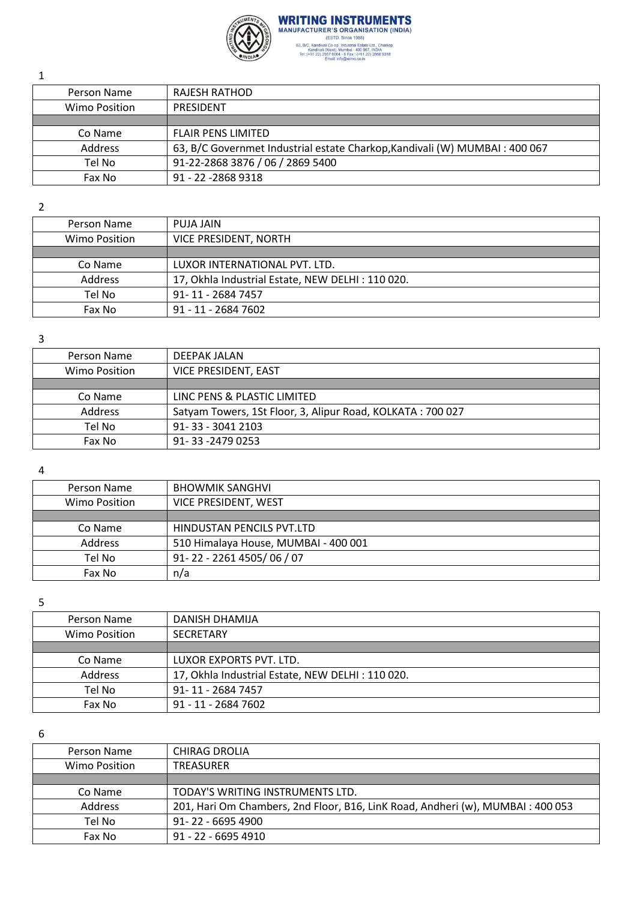

**WRITING INSTRUMENTS** MANUFACTURER'S ORGANISATION (INDIA) (ESTD. Since 1988)<br>
63, BIC, Kandivali Co-op. Industrial Estate Ltd., Charkop,<br>
Kandivali (Vest), Mumbai - 400 067, INDIA<br>
Tel.:(+91 22) 2967 6004 - 6 Fax : (+91 22) 2968 9318<br>
Email: info@wimo.co.in<br>
Info@wimo.co.in

Person Name | RAJESH RATHOD Wimo Position | PRESIDENT Co Name | FLAIR PENS LIMITED Address 63, B/C Governmet Industrial estate Charkop,Kandivali (W) MUMBAI : 400 067 Tel No 91-22-2868 3876 / 06 / 2869 5400 Fax No 91 - 22 - 2868 9318

2

1

| Person Name          | PUJA JAIN                                        |
|----------------------|--------------------------------------------------|
| <b>Wimo Position</b> | VICE PRESIDENT, NORTH                            |
|                      |                                                  |
| Co Name              | LUXOR INTERNATIONAL PVT. LTD.                    |
| Address              | 17, Okhla Industrial Estate, NEW DELHI: 110 020. |
| Tel No               | 91-11-2684 7457                                  |
| Fax No               | 91 - 11 - 2684 7602                              |
|                      |                                                  |

3

| Person Name    | <b>DEEPAK JALAN</b>                                        |
|----------------|------------------------------------------------------------|
| Wimo Position  | VICE PRESIDENT, EAST                                       |
|                |                                                            |
| Co Name        | LINC PENS & PLASTIC LIMITED                                |
| <b>Address</b> | Satyam Towers, 1St Floor, 3, Alipur Road, KOLKATA: 700 027 |
| Tel No         | 91-33-30412103                                             |
| Fax No         | 91-33-2479 0253                                            |

4

| Person Name   | <b>BHOWMIK SANGHVI</b>               |
|---------------|--------------------------------------|
| Wimo Position | VICE PRESIDENT, WEST                 |
|               |                                      |
| Co Name       | HINDUSTAN PENCILS PVT.LTD            |
| Address       | 510 Himalaya House, MUMBAI - 400 001 |
| Tel No        | 91-22-2261 4505/06/07                |
| Fax No        | n/a                                  |

5

| Person Name    | DANISH DHAMIJA                                   |
|----------------|--------------------------------------------------|
| Wimo Position  | <b>SECRETARY</b>                                 |
|                |                                                  |
| Co Name        | LUXOR EXPORTS PVT. LTD.                          |
| <b>Address</b> | 17, Okhla Industrial Estate, NEW DELHI: 110 020. |
| Tel No         | 91-11-2684 7457                                  |
| Fax No         | 91 - 11 - 2684 7602                              |

6

| Person Name   | CHIRAG DROLIA                                                                  |
|---------------|--------------------------------------------------------------------------------|
| Wimo Position | <b>TREASURER</b>                                                               |
|               |                                                                                |
| Co Name       | TODAY'S WRITING INSTRUMENTS LTD.                                               |
| Address       | 201, Hari Om Chambers, 2nd Floor, B16, LinK Road, Andheri (w), MUMBAI: 400 053 |
| Tel No        | $91 - 22 - 66954900$                                                           |
| Fax No        | 91 - 22 - 6695 4910                                                            |